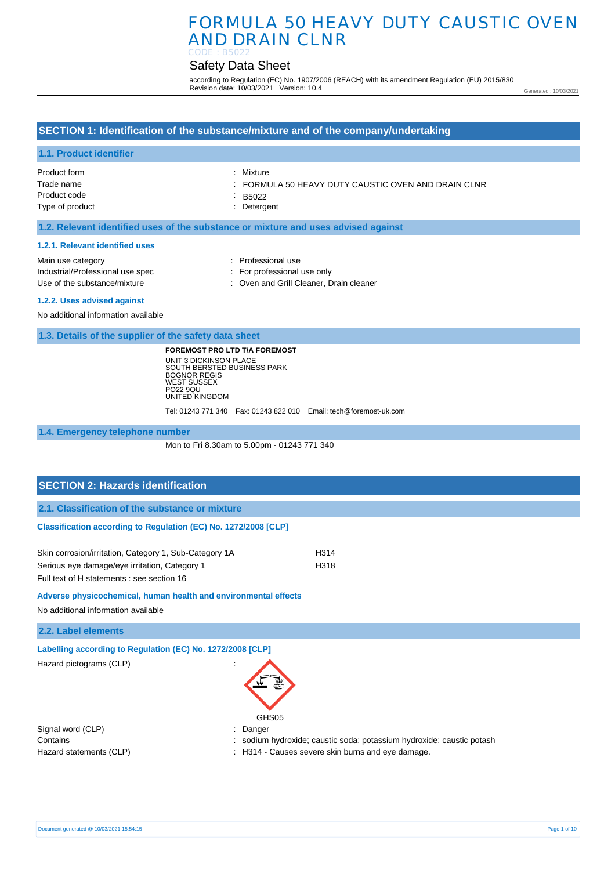# Safety Data Sheet

according to Regulation (EC) No. 1907/2006 (REACH) with its amendment Regulation (EU) 2015/830 Revision date: 10/03/2021 Version: 10.4

Generated : 10/03/2021

## **SECTION 1: Identification of the substance/mixture and of the company/undertaking**

## **1.1. Product identifier**

| Product form    | : Mixture                                           |
|-----------------|-----------------------------------------------------|
| Trade name      | : FORMULA 50 HEAVY DUTY CAUSTIC OVEN AND DRAIN CLNR |
| Product code    | : B5022                                             |
| Type of product | : Detergent                                         |
|                 |                                                     |

## **1.2. Relevant identified uses of the substance or mixture and uses advised against**

#### **1.2.1. Relevant identified uses**

| Main use category                | : Professional use                      |
|----------------------------------|-----------------------------------------|
| Industrial/Professional use spec | : For professional use only             |
| Use of the substance/mixture     | : Oven and Grill Cleaner. Drain cleaner |
| 1.0.0. Hoop painter and D.0.1    |                                         |

**1.2.2. Uses advised against** 

No additional information available

**1.3. Details of the supplier of the safety data sheet**

**FOREMOST PRO LTD T/A FOREMOST** UNIT 3 DICKINSON PLACE SOUTH BERSTED BUSINESS PARK BOGNOR REGIS WEST SUSSEX PO22 9QU UNITED KINGDOM

Tel: 01243 771 340 Fax: 01243 822 010 Email: tech@foremost-uk.com

**1.4. Emergency telephone number**

Mon to Fri 8.30am to 5.00pm - 01243 771 340

# **SECTION 2: Hazards identification 2.1. Classification of the substance or mixture Classification according to Regulation (EC) No. 1272/2008 [CLP]** Skin corrosion/irritation, Category 1, Sub-Category 1A H314 Serious eye damage/eye irritation, Category 1 H318

Full text of H statements : see section 16

**Adverse physicochemical, human health and environmental effects** 

No additional information available

**2.2. Label elements**

**Labelling according to Regulation (EC) No. 1272/2008 [CLP]** 

Hazard pictograms (CLP) :



Signal word (CLP)  $\qquad \qquad$ : Danger

Contains : sodium hydroxide; caustic soda; potassium hydroxide; caustic potash

Hazard statements (CLP) : H314 - Causes severe skin burns and eye damage.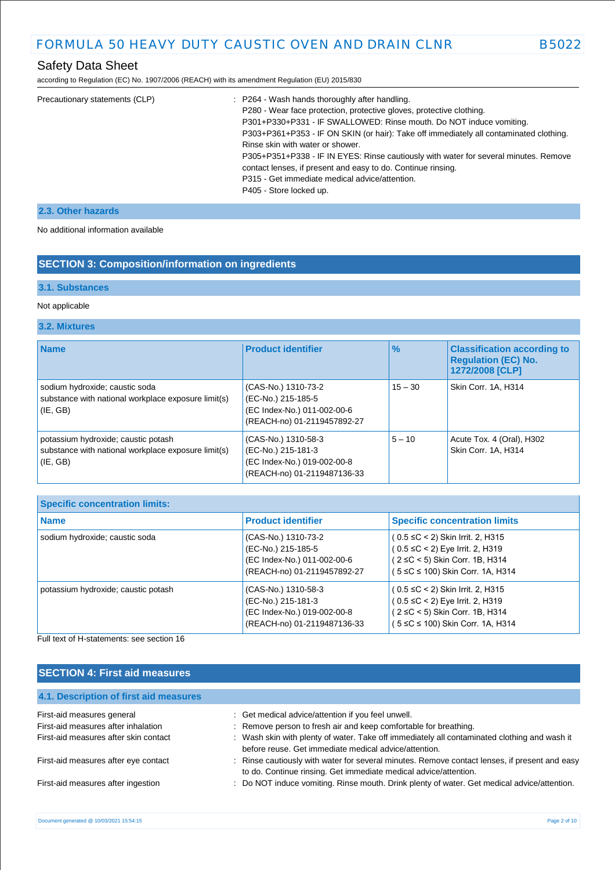according to Regulation (EC) No. 1907/2006 (REACH) with its amendment Regulation (EU) 2015/830

| Precautionary statements (CLP) | : P264 - Wash hands thoroughly after handling.<br>P280 - Wear face protection, protective gloves, protective clothing.<br>P301+P330+P331 - IF SWALLOWED: Rinse mouth. Do NOT induce vomiting.<br>P303+P361+P353 - IF ON SKIN (or hair): Take off immediately all contaminated clothing.<br>Rinse skin with water or shower.<br>P305+P351+P338 - IF IN EYES: Rinse cautiously with water for several minutes. Remove<br>contact lenses, if present and easy to do. Continue rinsing.<br>P315 - Get immediate medical advice/attention.<br>P405 - Store locked up. |
|--------------------------------|------------------------------------------------------------------------------------------------------------------------------------------------------------------------------------------------------------------------------------------------------------------------------------------------------------------------------------------------------------------------------------------------------------------------------------------------------------------------------------------------------------------------------------------------------------------|
|                                |                                                                                                                                                                                                                                                                                                                                                                                                                                                                                                                                                                  |

## **2.3. Other hazards**

No additional information available

# **SECTION 3: Composition/information on ingredients**

## **3.1. Substances**

## Not applicable

## **3.2. Mixtures**

| <b>Name</b>                                                                                                | <b>Product identifier</b>                                                                               | $\%$      | <b>Classification according to</b><br><b>Regulation (EC) No.</b><br>1272/2008 [CLP] |
|------------------------------------------------------------------------------------------------------------|---------------------------------------------------------------------------------------------------------|-----------|-------------------------------------------------------------------------------------|
| sodium hydroxide; caustic soda<br>substance with national workplace exposure limit(s)<br>$ $ (IE, GB)      | (CAS-No.) 1310-73-2<br>(EC-No.) 215-185-5<br>(EC Index-No.) 011-002-00-6<br>(REACH-no) 01-2119457892-27 | $15 - 30$ | Skin Corr. 1A. H314                                                                 |
| potassium hydroxide; caustic potash<br>substance with national workplace exposure limit(s)<br>$ $ (IE, GB) | (CAS-No.) 1310-58-3<br>(EC-No.) 215-181-3<br>(EC Index-No.) 019-002-00-8<br>(REACH-no) 01-2119487136-33 | $5 - 10$  | Acute Tox. 4 (Oral), H302<br>Skin Corr. 1A, H314                                    |

| <b>Specific concentration limits:</b> |                                                                                                         |                                                                                                                                                       |  |
|---------------------------------------|---------------------------------------------------------------------------------------------------------|-------------------------------------------------------------------------------------------------------------------------------------------------------|--|
| <b>Name</b>                           | <b>Product identifier</b>                                                                               | <b>Specific concentration limits</b>                                                                                                                  |  |
| sodium hydroxide; caustic soda        | (CAS-No.) 1310-73-2<br>(EC-No.) 215-185-5<br>(EC Index-No.) 011-002-00-6<br>(REACH-no) 01-2119457892-27 | $(0.5 \leq C < 2)$ Skin Irrit. 2, H315<br>$(0.5 \leq C < 2)$ Eye Irrit. 2, H319<br>(2 ≤C < 5) Skin Corr. 1B, H314<br>(5 ≤C ≤ 100) Skin Corr. 1A, H314 |  |
| potassium hydroxide; caustic potash   | (CAS-No.) 1310-58-3<br>(EC-No.) 215-181-3<br>(EC Index-No.) 019-002-00-8<br>(REACH-no) 01-2119487136-33 | $(0.5 \leq C < 2)$ Skin Irrit. 2, H315<br>$(0.5 \leq C < 2)$ Eye Irrit. 2, H319<br>(2 ≤C < 5) Skin Corr. 1B, H314<br>(5 ≤C ≤ 100) Skin Corr. 1A, H314 |  |

Full text of H-statements: see section 16

# **SECTION 4: First aid measures**

| 4.1. Description of first aid measures |                                                                                                                                                                   |
|----------------------------------------|-------------------------------------------------------------------------------------------------------------------------------------------------------------------|
| First-aid measures general             | : Get medical advice/attention if you feel unwell.                                                                                                                |
| First-aid measures after inhalation    | : Remove person to fresh air and keep comfortable for breathing.                                                                                                  |
| First-aid measures after skin contact  | : Wash skin with plenty of water. Take off immediately all contaminated clothing and wash it<br>before reuse. Get immediate medical advice/attention.             |
| First-aid measures after eye contact   | : Rinse cautiously with water for several minutes. Remove contact lenses, if present and easy<br>to do. Continue rinsing. Get immediate medical advice/attention. |
| First-aid measures after ingestion     | : Do NOT induce vomiting. Rinse mouth. Drink plenty of water. Get medical advice/attention.                                                                       |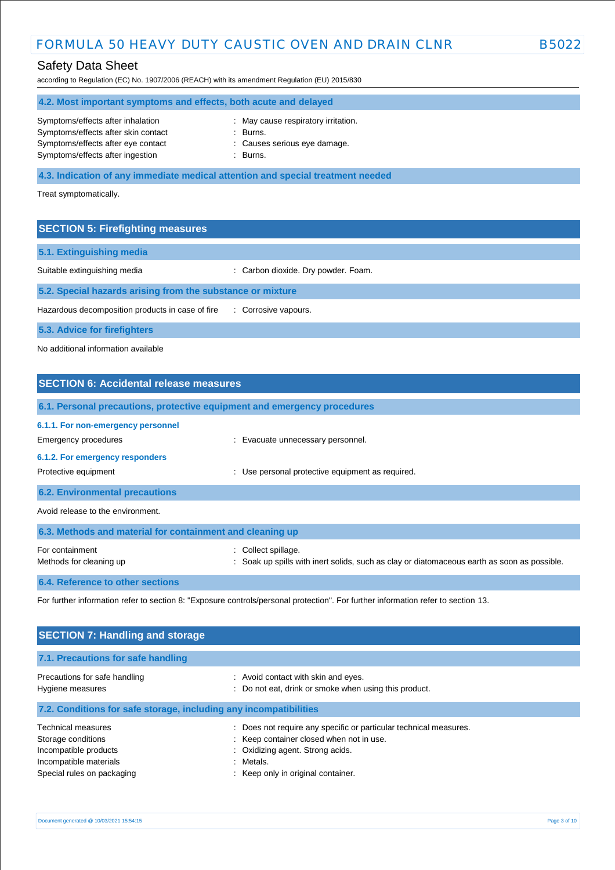according to Regulation (EC) No. 1907/2006 (REACH) with its amendment Regulation (EU) 2015/830

# **4.2. Most important symptoms and effects, both acute and delayed**

| Symptoms/effects after inhalation   | : May $ci$ |
|-------------------------------------|------------|
| Symptoms/effects after skin contact | : Burns.   |
| Symptoms/effects after eye contact  | : Cause    |
| Symptoms/effects after ingestion    | : Burns.   |

- : May cause respiratory irritation. : Burns. : Causes serious eye damage.
- 

**4.3. Indication of any immediate medical attention and special treatment needed**

Treat symptomatically.

## **SECTION 5: Firefighting measures**

| 5.1. Extinguishing media                                   |                                     |  |
|------------------------------------------------------------|-------------------------------------|--|
| Suitable extinguishing media                               | : Carbon dioxide. Dry powder. Foam. |  |
| 5.2. Special hazards arising from the substance or mixture |                                     |  |
| Hazardous decomposition products in case of fire           | : Corrosive vapours.                |  |
| 5.3. Advice for firefighters                               |                                     |  |

No additional information available

# **SECTION 6: Accidental release measures 6.1. Personal precautions, protective equipment and emergency procedures 6.1.1. For non-emergency personnel**  Emergency procedures **in the example of the example of the Evacuate unnecessary personnel. 6.1.2. For emergency responders**  Protective equipment **interval and the COV** versional protective equipment as required. **6.2. Environmental precautions** Avoid release to the environment. **6.3. Methods and material for containment and cleaning up** For containment  $\qquad \qquad$ : Collect spillage. Methods for cleaning up **interpret in the spills** with inert solids, such as clay or diatomaceous earth as soon as possible.

### **6.4. Reference to other sections**

For further information refer to section 8: "Exposure controls/personal protection". For further information refer to section 13.

| <b>SECTION 7: Handling and storage</b>                                                                                           |                                                                                                                                                                                                       |
|----------------------------------------------------------------------------------------------------------------------------------|-------------------------------------------------------------------------------------------------------------------------------------------------------------------------------------------------------|
| 7.1. Precautions for safe handling                                                                                               |                                                                                                                                                                                                       |
| Precautions for safe handling<br>Hygiene measures                                                                                | : Avoid contact with skin and eyes.<br>Do not eat, drink or smoke when using this product.<br>÷                                                                                                       |
| 7.2. Conditions for safe storage, including any incompatibilities                                                                |                                                                                                                                                                                                       |
| <b>Technical measures</b><br>Storage conditions<br>Incompatible products<br>Incompatible materials<br>Special rules on packaging | Does not require any specific or particular technical measures.<br>÷<br>: Keep container closed when not in use.<br>: Oxidizing agent. Strong acids.<br>: Metals.<br>Keep only in original container. |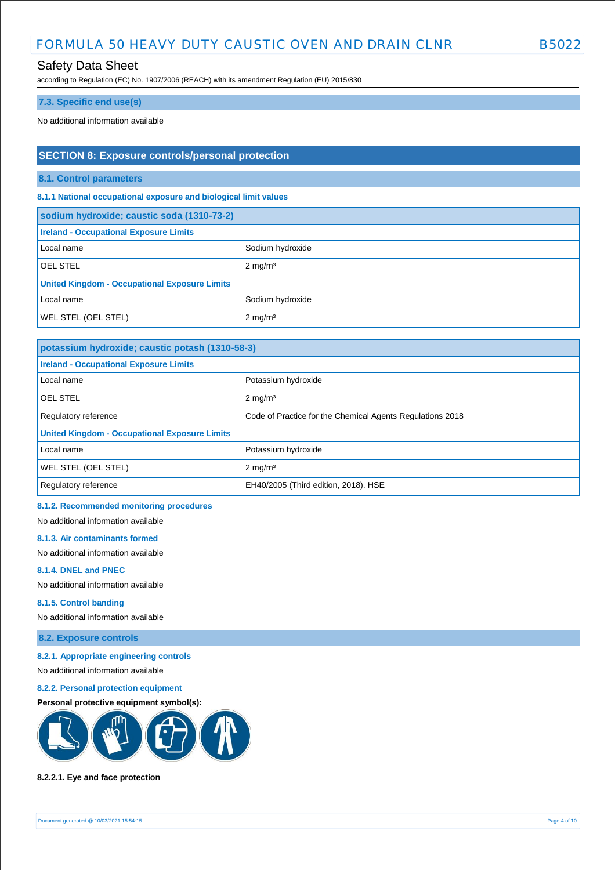## Safety Data Sheet

according to Regulation (EC) No. 1907/2006 (REACH) with its amendment Regulation (EU) 2015/830

## **7.3. Specific end use(s)**

No additional information available

## **SECTION 8: Exposure controls/personal protection**

**8.1. Control parameters**

**8.1.1 National occupational exposure and biological limit values** 

| sodium hydroxide; caustic soda (1310-73-2)           |                    |  |
|------------------------------------------------------|--------------------|--|
| <b>Ireland - Occupational Exposure Limits</b>        |                    |  |
| Local name                                           | Sodium hydroxide   |  |
| <b>OEL STEL</b>                                      | $2 \text{ mg/m}^3$ |  |
| <b>United Kingdom - Occupational Exposure Limits</b> |                    |  |
| Local name                                           | Sodium hydroxide   |  |
| <b>WEL STEL (OEL STEL)</b>                           | $2 \text{ mg/m}^3$ |  |

| potassium hydroxide; caustic potash (1310-58-3)      |                                                           |  |
|------------------------------------------------------|-----------------------------------------------------------|--|
| <b>Ireland - Occupational Exposure Limits</b>        |                                                           |  |
| Local name                                           | Potassium hydroxide                                       |  |
| OEL STEL                                             | $2$ mg/m <sup>3</sup>                                     |  |
| Regulatory reference                                 | Code of Practice for the Chemical Agents Regulations 2018 |  |
| <b>United Kingdom - Occupational Exposure Limits</b> |                                                           |  |
| Local name                                           | Potassium hydroxide                                       |  |
| WEL STEL (OEL STEL)                                  | $2 \text{ mg/m}^3$                                        |  |
| Regulatory reference                                 | EH40/2005 (Third edition, 2018). HSE                      |  |

## **8.1.2. Recommended monitoring procedures**

No additional information available

### **8.1.3. Air contaminants formed**

No additional information available

### **8.1.4. DNEL and PNEC**

No additional information available

### **8.1.5. Control banding**

No additional information available

## **8.2. Exposure controls**

#### **8.2.1. Appropriate engineering controls**

No additional information available

## **8.2.2. Personal protection equipment**

### **Personal protective equipment symbol(s):**



### **8.2.2.1. Eye and face protection**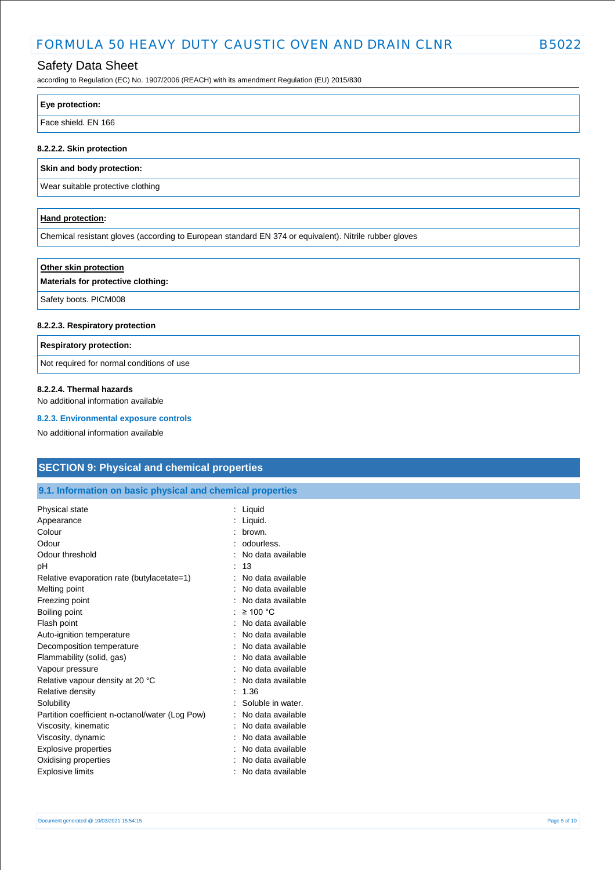# Safety Data Sheet

according to Regulation (EC) No. 1907/2006 (REACH) with its amendment Regulation (EU) 2015/830

| Face shield. EN 166 |  |
|---------------------|--|

### **8.2.2.2. Skin protection**

**Skin and body protection:**

Wear suitable protective clothing

### **Hand protection:**

Chemical resistant gloves (according to European standard EN 374 or equivalent). Nitrile rubber gloves

| Other skin protection<br>Materials for protective clothing: |  |
|-------------------------------------------------------------|--|
| Safety boots. PICM008                                       |  |
|                                                             |  |

### **8.2.2.3. Respiratory protection**

**Respiratory protection:**

Not required for normal conditions of use

### **8.2.2.4. Thermal hazards**

No additional information available

### **8.2.3. Environmental exposure controls**

No additional information available

## **SECTION 9: Physical and chemical properties**

## **9.1. Information on basic physical and chemical properties**

| Liquid            |
|-------------------|
| Liquid.           |
| hrown.            |
| odourless.        |
| No data available |
| 13                |
| No data available |
| No data available |
| No data available |
| $\geq 100$ °C     |
| No data available |
| No data available |
| No data available |
| No data available |
| No data available |
| No data available |
| 1.36              |
| Soluble in water. |
| No data available |
| No data available |
| No data available |
| No data available |
| No data available |
| No data available |
|                   |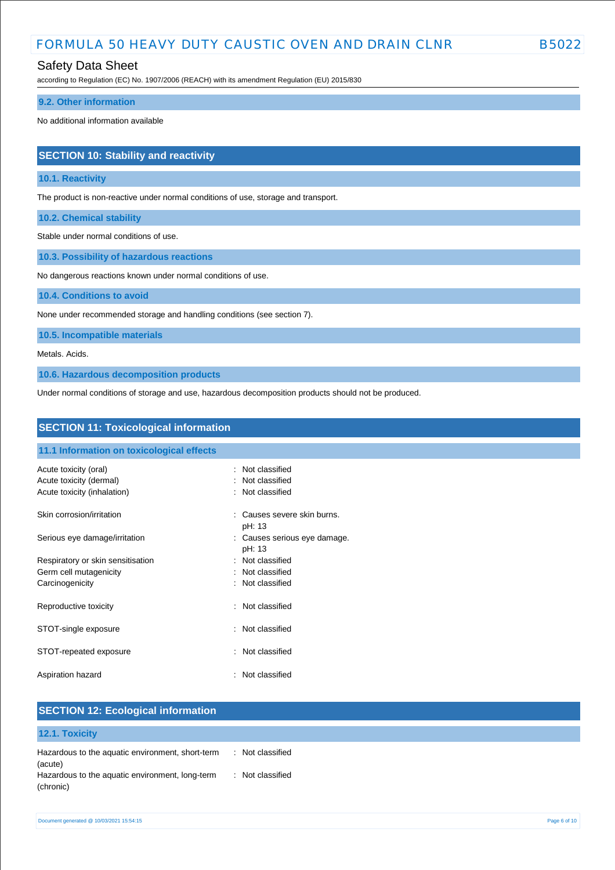## Safety Data Sheet

according to Regulation (EC) No. 1907/2006 (REACH) with its amendment Regulation (EU) 2015/830

### **9.2. Other information**

No additional information available

## **SECTION 10: Stability and reactivity**

### **10.1. Reactivity**

The product is non-reactive under normal conditions of use, storage and transport.

**10.2. Chemical stability**

Stable under normal conditions of use.

**10.3. Possibility of hazardous reactions**

No dangerous reactions known under normal conditions of use.

**10.4. Conditions to avoid**

None under recommended storage and handling conditions (see section 7).

**10.5. Incompatible materials**

Metals. Acids.

**10.6. Hazardous decomposition products**

Under normal conditions of storage and use, hazardous decomposition products should not be produced.

| <b>SECTION 11: Toxicological information</b>           |                                        |
|--------------------------------------------------------|----------------------------------------|
| 11.1 Information on toxicological effects              |                                        |
| Acute toxicity (oral)                                  | : Not classified                       |
| Acute toxicity (dermal)<br>Acute toxicity (inhalation) | Not classified<br>: Not classified     |
| Skin corrosion/irritation                              | : Causes severe skin burns.<br>pH: 13  |
| Serious eye damage/irritation                          | : Causes serious eye damage.<br>pH: 13 |
| Respiratory or skin sensitisation                      | : Not classified                       |
| Germ cell mutagenicity                                 | : Not classified                       |
| Carcinogenicity                                        | : Not classified                       |
| Reproductive toxicity                                  | Not classified<br>÷                    |
| STOT-single exposure                                   | : Not classified                       |
| STOT-repeated exposure                                 | Not classified<br>÷                    |
| Aspiration hazard                                      | Not classified<br>÷.                   |

|                | <b>SECTION 12: Ecological information</b>        |                                  |
|----------------|--------------------------------------------------|----------------------------------|
| 12.1. Toxicity |                                                  |                                  |
| (acute)        | Hazardous to the aquatic environment, short-term | : Not classified                 |
| (chronic)      | Hazardous to the aquatic environment, long-term  | Not classified<br>$\mathbb{R}^n$ |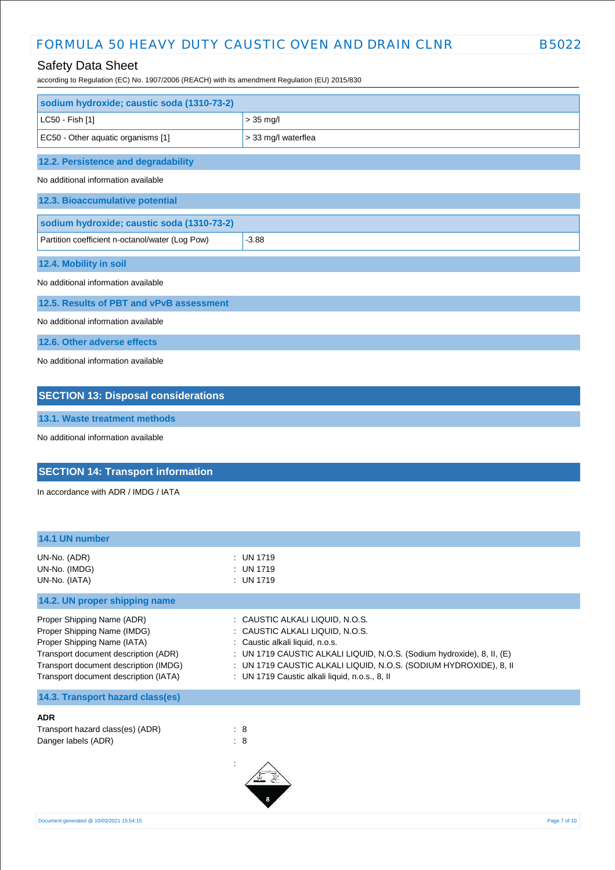# Safety Data Sheet

according to Regulation (EC) No. 1907/2006 (REACH) with its amendment Regulation (EU) 2015/830

| sodium hydroxide; caustic soda (1310-73-2)      |                     |
|-------------------------------------------------|---------------------|
|                                                 |                     |
| LC50 - Fish [1]                                 | $> 35$ mg/l         |
| EC50 - Other aquatic organisms [1]              | > 33 mg/l waterflea |
| 12.2. Persistence and degradability             |                     |
| No additional information available             |                     |
| 12.3. Bioaccumulative potential                 |                     |
| sodium hydroxide; caustic soda (1310-73-2)      |                     |
| Partition coefficient n-octanol/water (Log Pow) | $-3.88$             |
| 12.4. Mobility in soil                          |                     |
| No additional information available             |                     |
| 12.5. Results of PBT and vPvB assessment        |                     |
| No additional information available             |                     |
| 12.6. Other adverse effects                     |                     |
| No additional information available             |                     |
| <b>SECTION 13: Disposal considerations</b>      |                     |

**13.1. Waste treatment methods**

No additional information available

# **SECTION 14: Transport information**

In accordance with ADR / IMDG / IATA

| 14.1 UN number                                                                                                                                                                                                     |                                                                                                                                                                                                                                                                                                        |
|--------------------------------------------------------------------------------------------------------------------------------------------------------------------------------------------------------------------|--------------------------------------------------------------------------------------------------------------------------------------------------------------------------------------------------------------------------------------------------------------------------------------------------------|
| UN-No. (ADR)<br>UN-No. (IMDG)<br>UN-No. (IATA)                                                                                                                                                                     | $:$ UN 1719<br>$:$ UN 1719<br>$:$ UN 1719                                                                                                                                                                                                                                                              |
| 14.2. UN proper shipping name                                                                                                                                                                                      |                                                                                                                                                                                                                                                                                                        |
| Proper Shipping Name (ADR)<br>Proper Shipping Name (IMDG)<br>Proper Shipping Name (IATA)<br>Transport document description (ADR)<br>Transport document description (IMDG)<br>Transport document description (IATA) | : CAUSTIC ALKALI LIQUID, N.O.S.<br>: CAUSTIC ALKALI LIQUID, N.O.S.<br>: Caustic alkali liquid, n.o.s.<br>: UN 1719 CAUSTIC ALKALI LIQUID, N.O.S. (Sodium hydroxide), 8, II, (E)<br>: UN 1719 CAUSTIC ALKALI LIQUID, N.O.S. (SODIUM HYDROXIDE), 8, II<br>: UN 1719 Caustic alkali liquid, n.o.s., 8, II |
| 14.3. Transport hazard class(es)                                                                                                                                                                                   |                                                                                                                                                                                                                                                                                                        |
| <b>ADR</b><br>Transport hazard class(es) (ADR)<br>Danger labels (ADR)                                                                                                                                              | : 8<br>: 8                                                                                                                                                                                                                                                                                             |

| ויושרון נטאוטאט שוו | . - |
|---------------------|-----|
| (ADR)               | : 8 |
|                     |     |

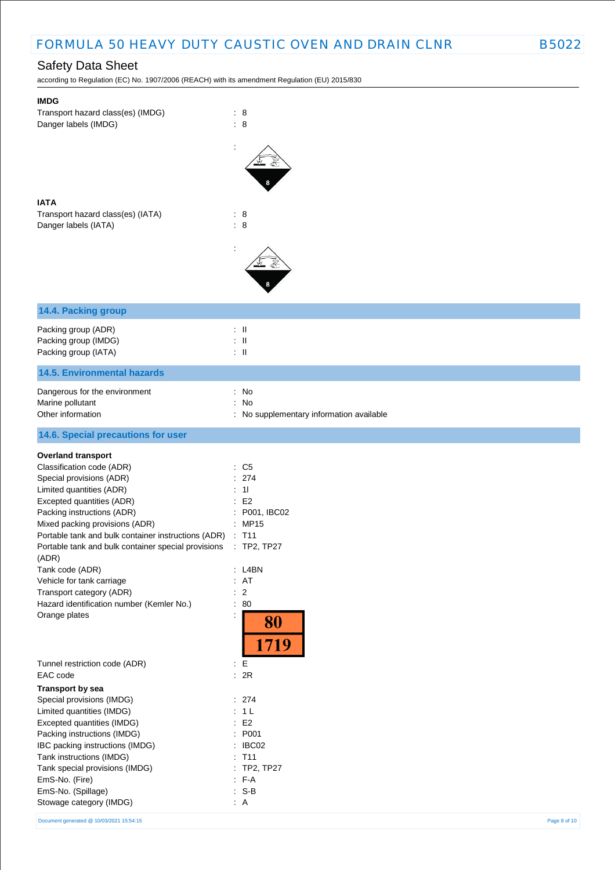according to Regulation (EC) No. 1907/2006 (REACH) with its amendment Regulation (EU) 2015/830

| <b>IMDG</b><br>Transport hazard class(es) (IMDG)<br>Danger labels (IMDG) | $\therefore$ 8<br>$\therefore$ 8       |
|--------------------------------------------------------------------------|----------------------------------------|
|                                                                          |                                        |
| <b>IATA</b><br>Transport hazard class(es) (IATA)<br>Danger labels (IATA) | $\therefore$ 8<br>: 8                  |
|                                                                          |                                        |
| 14.4. Packing group                                                      |                                        |
| Packing group (ADR)                                                      | $\therefore$ $\parallel$               |
| Packing group (IMDG)                                                     | $\therefore$ $\parallel$               |
| Packing group (IATA)                                                     | $\therefore$ $\parallel$               |
| <b>14.5. Environmental hazards</b>                                       |                                        |
| Dangerous for the environment                                            | : No                                   |
| Marine pollutant                                                         | No<br>÷.                               |
| Other information                                                        | No supplementary information available |
| 14.6. Special precautions for user                                       |                                        |
| <b>Overland transport</b>                                                |                                        |
| Classification code (ADR)                                                | C <sub>5</sub><br>÷                    |
| Special provisions (ADR)                                                 | 274                                    |
| Limited quantities (ADR)                                                 | 11                                     |
| Excepted quantities (ADR)                                                | E <sub>2</sub>                         |
| Packing instructions (ADR)                                               | P001, IBC02                            |
| Mixed packing provisions (ADR)                                           | <b>MP15</b><br>÷                       |
| Portable tank and bulk container instructions (ADR)                      | T11                                    |
| Portable tank and bulk container special provisions<br>(ADR)             | : TP2, TP27                            |
| Tank code (ADR)                                                          | L4BN                                   |
| Vehicle for tank carriage                                                | : AT                                   |
| Transport category (ADR)                                                 | $\overline{2}$<br>÷                    |
| Hazard identification number (Kemler No.)                                | 80<br>$\ddot{\phantom{a}}$             |
| Orange plates                                                            | 80<br>1719                             |
| Tunnel restriction code (ADR)                                            | $\mathbf{E}$                           |
| EAC code                                                                 | : 2R                                   |
| <b>Transport by sea</b>                                                  |                                        |
| Special provisions (IMDG)                                                | : 274                                  |
| Limited quantities (IMDG)                                                | 1 <sub>L</sub><br>÷.                   |
| Excepted quantities (IMDG)<br>Packing instructions (IMDG)                | E <sub>2</sub><br>÷.<br>P001           |
| IBC packing instructions (IMDG)                                          | IBC02<br>$\ddot{\phantom{a}}$          |
| Tank instructions (IMDG)                                                 | $:$ T <sub>11</sub>                    |
| Tank special provisions (IMDG)                                           | TP2, TP27                              |
| EmS-No. (Fire)                                                           | $: F-A$                                |
| EmS-No. (Spillage)                                                       | $S-B$<br>÷.                            |
| Stowage category (IMDG)                                                  | : A                                    |

Document generated @ 10/03/2021 15:54:15 Page 8 of 10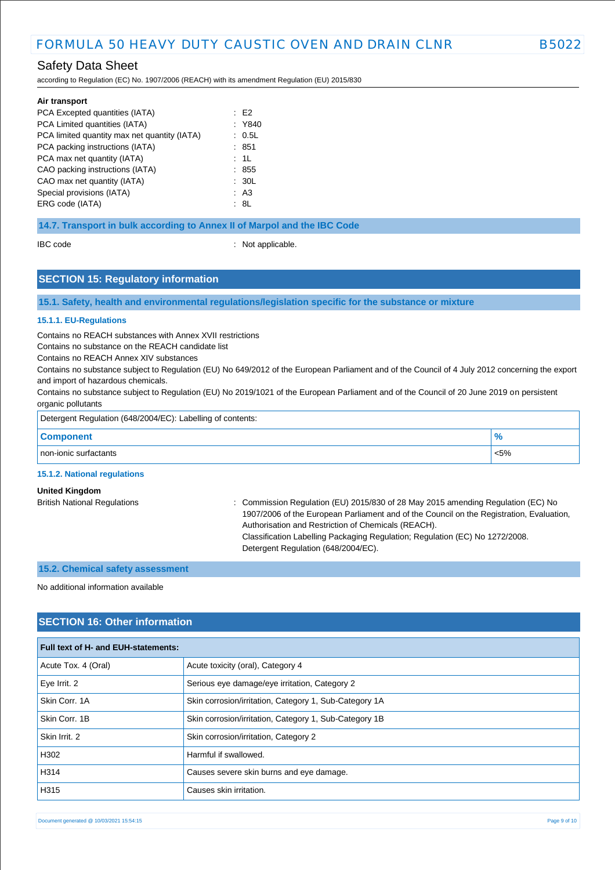according to Regulation (EC) No. 1907/2006 (REACH) with its amendment Regulation (EU) 2015/830

| Air transport                                |        |
|----------------------------------------------|--------|
| PCA Excepted quantities (IATA)               | : E2   |
| PCA Limited quantities (IATA)                | : Y840 |
| PCA limited quantity max net quantity (IATA) | : 0.5L |
| PCA packing instructions (IATA)              | : 851  |
| PCA max net quantity (IATA)                  | : 1L   |
| CAO packing instructions (IATA)              | : 855  |
| CAO max net quantity (IATA)                  | : 30L  |
| Special provisions (IATA)                    | : A3   |
| ERG code (IATA)                              | : 8L   |
|                                              |        |

### **14.7. Transport in bulk according to Annex II of Marpol and the IBC Code**

IBC code : Not applicable.

## **SECTION 15: Regulatory information**

**15.1. Safety, health and environmental regulations/legislation specific for the substance or mixture**

### **15.1.1. EU-Regulations**

Contains no REACH substances with Annex XVII restrictions

Contains no substance on the REACH candidate list

Contains no REACH Annex XIV substances

Contains no substance subject to Regulation (EU) No 649/2012 of the European Parliament and of the Council of 4 July 2012 concerning the export and import of hazardous chemicals.

Contains no substance subject to Regulation (EU) No 2019/1021 of the European Parliament and of the Council of 20 June 2019 on persistent organic pollutants

| Detergent Regulation (648/2004/EC): Labelling of contents: |         |
|------------------------------------------------------------|---------|
| <b>Component</b>                                           |         |
| non-ionic surfactants                                      | $< 5\%$ |

#### **15.1.2. National regulations**

## **United Kingdom**

British National Regulations : Commission Regulation (EU) 2015/830 of 28 May 2015 amending Regulation (EC) No 1907/2006 of the European Parliament and of the Council on the Registration, Evaluation, Authorisation and Restriction of Chemicals (REACH). Classification Labelling Packaging Regulation; Regulation (EC) No 1272/2008. Detergent Regulation (648/2004/EC).

## **15.2. Chemical safety assessment**

No additional information available

## **SECTION 16: Other information**

| <b>Full text of H- and EUH-statements:</b> |                                                        |  |
|--------------------------------------------|--------------------------------------------------------|--|
| Acute Tox. 4 (Oral)                        | Acute toxicity (oral), Category 4                      |  |
| Eye Irrit. 2                               | Serious eye damage/eye irritation, Category 2          |  |
| Skin Corr, 1A                              | Skin corrosion/irritation, Category 1, Sub-Category 1A |  |
| Skin Corr. 1B                              | Skin corrosion/irritation, Category 1, Sub-Category 1B |  |
| Skin Irrit. 2                              | Skin corrosion/irritation, Category 2                  |  |
| H302                                       | Harmful if swallowed.                                  |  |
| H314                                       | Causes severe skin burns and eye damage.               |  |
| H315                                       | Causes skin irritation.                                |  |